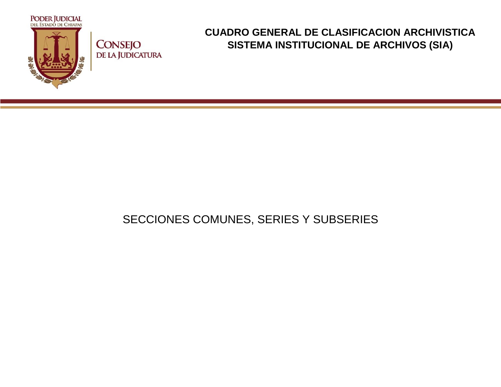

## **CONSEJO** DE LA JUDICATURA

## **CUADRO GENERAL DE CLASIFICACION ARCHIVISTICA SISTEMA INSTITUCIONAL DE ARCHIVOS (SIA)**

## SECCIONES COMUNES, SERIES Y SUBSERIES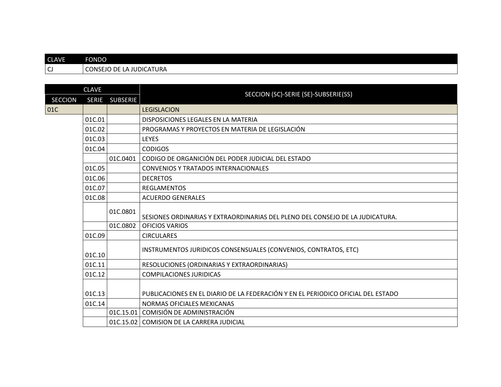| <b>CLAVE</b>           | <b>FONDO</b> |                                 |                                                                                  |  |  |  |
|------------------------|--------------|---------------------------------|----------------------------------------------------------------------------------|--|--|--|
| $\mathsf{C}\mathsf{J}$ |              | <b>CONSEJO DE LA JUDICATURA</b> |                                                                                  |  |  |  |
|                        |              |                                 |                                                                                  |  |  |  |
|                        | <b>CLAVE</b> |                                 | SECCION (SC)-SERIE (SE)-SUBSERIE(SS)                                             |  |  |  |
| <b>SECCION</b>         | <b>SERIE</b> | <b>SUBSERIE</b>                 |                                                                                  |  |  |  |
| 01C                    |              |                                 | <b>LEGISLACION</b>                                                               |  |  |  |
|                        | 01C.01       |                                 | DISPOSICIONES LEGALES EN LA MATERIA                                              |  |  |  |
|                        | 01C.02       |                                 | PROGRAMAS Y PROYECTOS EN MATERIA DE LEGISLACIÓN                                  |  |  |  |
|                        | 01C.03       |                                 | <b>LEYES</b>                                                                     |  |  |  |
|                        | 01C.04       |                                 | <b>CODIGOS</b>                                                                   |  |  |  |
|                        |              | 01C.0401                        | CODIGO DE ORGANICIÓN DEL PODER JUDICIAL DEL ESTADO                               |  |  |  |
|                        | 01C.05       |                                 | <b>CONVENIOS Y TRATADOS INTERNACIONALES</b>                                      |  |  |  |
|                        | 01C.06       |                                 | <b>DECRETOS</b>                                                                  |  |  |  |
|                        | 01C.07       |                                 | <b>REGLAMENTOS</b>                                                               |  |  |  |
|                        | 01C.08       |                                 | <b>ACUERDO GENERALES</b>                                                         |  |  |  |
|                        |              | 01C.0801                        | SESIONES ORDINARIAS Y EXTRAORDINARIAS DEL PLENO DEL CONSEJO DE LA JUDICATURA.    |  |  |  |
|                        |              | 01C.0802                        | <b>OFICIOS VARIOS</b>                                                            |  |  |  |
|                        | 01C.09       |                                 | <b>CIRCULARES</b>                                                                |  |  |  |
|                        | 01C.10       |                                 | INSTRUMENTOS JURIDICOS CONSENSUALES (CONVENIOS, CONTRATOS, ETC)                  |  |  |  |
|                        | 01C.11       |                                 | RESOLUCIONES (ORDINARIAS Y EXTRAORDINARIAS)                                      |  |  |  |
|                        | 01C.12       |                                 | <b>COMPILACIONES JURIDICAS</b>                                                   |  |  |  |
|                        | 01C.13       |                                 | PUBLICACIONES EN EL DIARIO DE LA FEDERACIÓN Y EN EL PERIODICO OFICIAL DEL ESTADO |  |  |  |
|                        | 01C.14       |                                 | NORMAS OFICIALES MEXICANAS                                                       |  |  |  |
|                        |              | 01C.15.01                       | COMISIÓN DE ADMINISTRACIÓN                                                       |  |  |  |
|                        |              |                                 | 01C.15.02 COMISION DE LA CARRERA JUDICIAL                                        |  |  |  |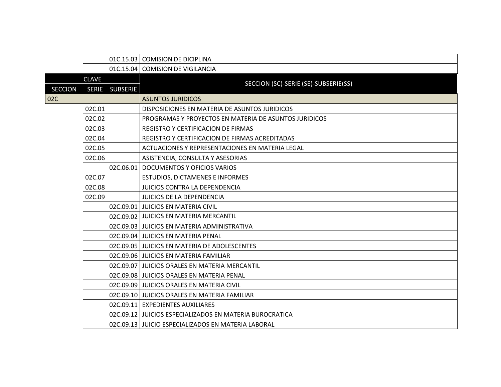|                |              |                 | 01C.15.03 COMISION DE DICIPLINA                         |
|----------------|--------------|-----------------|---------------------------------------------------------|
|                |              |                 | 01C.15.04 COMISION DE VIGILANCIA                        |
|                | <b>CLAVE</b> |                 | SECCION (SC)-SERIE (SE)-SUBSERIE(SS)                    |
| <b>SECCION</b> | <b>SERIE</b> | <b>SUBSERIE</b> |                                                         |
| 02C            |              |                 | <b>ASUNTOS JURIDICOS</b>                                |
|                | 02C.01       |                 | DISPOSICIONES EN MATERIA DE ASUNTOS JURIDICOS           |
|                | 02C.02       |                 | PROGRAMAS Y PROYECTOS EN MATERIA DE ASUNTOS JURIDICOS   |
|                | 02C.03       |                 | REGISTRO Y CERTIFICACION DE FIRMAS                      |
|                | 02C.04       |                 | REGISTRO Y CERTIFICACION DE FIRMAS ACREDITADAS          |
|                | 02C.05       |                 | ACTUACIONES Y REPRESENTACIONES EN MATERIA LEGAL         |
|                | 02C.06       |                 | ASISTENCIA, CONSULTA Y ASESORIAS                        |
|                |              |                 | 02C.06.01   DOCUMENTOS Y OFICIOS VARIOS                 |
|                | 02C.07       |                 | <b>ESTUDIOS, DICTAMENES E INFORMES</b>                  |
|                | 02C.08       |                 | JUICIOS CONTRA LA DEPENDENCIA                           |
|                | 02C.09       |                 | <b>JUICIOS DE LA DEPENDENCIA</b>                        |
|                |              |                 | 02C.09.01 JUICIOS EN MATERIA CIVIL                      |
|                |              |                 | 02C.09.02 JUICIOS EN MATERIA MERCANTIL                  |
|                |              |                 | 02C.09.03 JUICIOS EN MATERIA ADMINISTRATIVA             |
|                |              |                 | 02C.09.04 JUICIOS EN MATERIA PENAL                      |
|                |              |                 | 02C.09.05 JUICIOS EN MATERIA DE ADOLESCENTES            |
|                |              |                 | 02C.09.06 JUICIOS EN MATERIA FAMILIAR                   |
|                |              |                 | 02C.09.07 JUICIOS ORALES EN MATERIA MERCANTIL           |
|                |              |                 | 02C.09.08 JUICIOS ORALES EN MATERIA PENAL               |
|                |              |                 | 02C.09.09 JUICIOS ORALES EN MATERIA CIVIL               |
|                |              |                 | 02C.09.10 JUICIOS ORALES EN MATERIA FAMILIAR            |
|                |              |                 | 02C.09.11 EXPEDIENTES AUXILIARES                        |
|                |              |                 | 02C.09.12 JUICIOS ESPECIALIZADOS EN MATERIA BUROCRATICA |
|                |              |                 | 02C.09.13 JUICIO ESPECIALIZADOS EN MATERIA LABORAL      |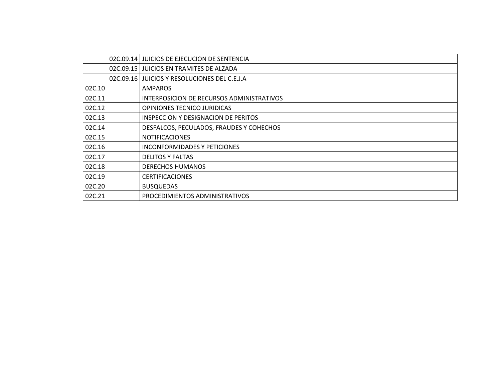|        | 02C.09.14 JUICIOS DE EJECUCION DE SENTENCIA  |
|--------|----------------------------------------------|
|        | 02C.09.15 JUICIOS EN TRAMITES DE ALZADA      |
|        | 02C.09.16 JUICIOS Y RESOLUCIONES DEL C.E.J.A |
| 02C.10 | <b>AMPAROS</b>                               |
| 02C.11 | INTERPOSICION DE RECURSOS ADMINISTRATIVOS    |
| 02C.12 | OPINIONES TECNICO JURIDICAS                  |
| 02C.13 | INSPECCION Y DESIGNACION DE PERITOS          |
| 02C.14 | DESFALCOS, PECULADOS, FRAUDES Y COHECHOS     |
| 02C.15 | <b>NOTIFICACIONES</b>                        |
| 02C.16 | INCONFORMIDADES Y PETICIONES                 |
| 02C.17 | <b>DELITOS Y FALTAS</b>                      |
| 02C.18 | <b>DERECHOS HUMANOS</b>                      |
| 02C.19 | <b>CERTIFICACIONES</b>                       |
| 02C.20 | <b>BUSQUEDAS</b>                             |
| 02C.21 | PROCEDIMIENTOS ADMINISTRATIVOS               |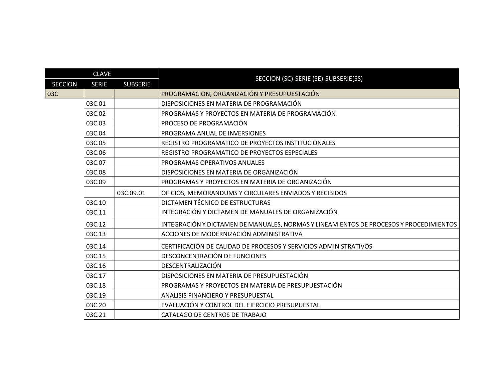| <b>CLAVE</b>   |              |                 | SECCION (SC)-SERIE (SE)-SUBSERIE(SS)                                                   |
|----------------|--------------|-----------------|----------------------------------------------------------------------------------------|
| <b>SECCION</b> | <b>SERIE</b> | <b>SUBSERIE</b> |                                                                                        |
| 03C            |              |                 | PROGRAMACION, ORGANIZACIÓN Y PRESUPUESTACIÓN                                           |
|                | 03C.01       |                 | DISPOSICIONES EN MATERIA DE PROGRAMACIÓN                                               |
|                | 03C.02       |                 | PROGRAMAS Y PROYECTOS EN MATERIA DE PROGRAMACIÓN                                       |
|                | 03C.03       |                 | PROCESO DE PROGRAMACIÓN                                                                |
|                | 03C.04       |                 | PROGRAMA ANUAL DE INVERSIONES                                                          |
|                | 03C.05       |                 | REGISTRO PROGRAMATICO DE PROYECTOS INSTITUCIONALES                                     |
|                | 03C.06       |                 | REGISTRO PROGRAMATICO DE PROYECTOS ESPECIALES                                          |
|                | 03C.07       |                 | PROGRAMAS OPERATIVOS ANUALES                                                           |
|                | 03C.08       |                 | DISPOSICIONES EN MATERIA DE ORGANIZACIÓN                                               |
|                | 03C.09       |                 | PROGRAMAS Y PROYECTOS EN MATERIA DE ORGANIZACIÓN                                       |
|                |              | 03C.09.01       | OFICIOS, MEMORANDUMS Y CIRCULARES ENVIADOS Y RECIBIDOS                                 |
|                | 03C.10       |                 | DICTAMEN TÉCNICO DE ESTRUCTURAS                                                        |
|                | 03C.11       |                 | INTEGRACIÓN Y DICTAMEN DE MANUALES DE ORGANIZACIÓN                                     |
|                | 03C.12       |                 | INTEGRACIÓN Y DICTAMEN DE MANUALES, NORMAS Y LINEAMIENTOS DE PROCESOS Y PROCEDIMIENTOS |
|                | 03C.13       |                 | ACCIONES DE MODERNIZACIÓN ADMINISTRATIVA                                               |
|                | 03C.14       |                 | CERTIFICACIÓN DE CALIDAD DE PROCESOS Y SERVICIOS ADMINISTRATIVOS                       |
|                | 03C.15       |                 | DESCONCENTRACIÓN DE FUNCIONES                                                          |
|                | 03C.16       |                 | DESCENTRALIZACIÓN                                                                      |
|                | 03C.17       |                 | DISPOSICIONES EN MATERIA DE PRESUPUESTACIÓN                                            |
|                | 03C.18       |                 | PROGRAMAS Y PROYECTOS EN MATERIA DE PRESUPUESTACIÓN                                    |
|                | 03C.19       |                 | <b>ANALISIS FINANCIERO Y PRESUPUESTAL</b>                                              |
|                | 03C.20       |                 | EVALUACIÓN Y CONTROL DEL EJERCICIO PRESUPUESTAL                                        |
|                | 03C.21       |                 | CATALAGO DE CENTROS DE TRABAJO                                                         |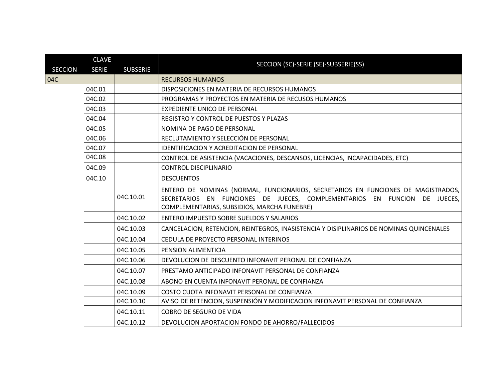| <b>CLAVE</b>   |              |                 | SECCION (SC)-SERIE (SE)-SUBSERIE(SS)                                                                                                                                                                          |
|----------------|--------------|-----------------|---------------------------------------------------------------------------------------------------------------------------------------------------------------------------------------------------------------|
| <b>SECCION</b> | <b>SERIE</b> | <b>SUBSERIE</b> |                                                                                                                                                                                                               |
| 04C            |              |                 | <b>RECURSOS HUMANOS</b>                                                                                                                                                                                       |
|                | 04C.01       |                 | DISPOSICIONES EN MATERIA DE RECURSOS HUMANOS                                                                                                                                                                  |
|                | 04C.02       |                 | PROGRAMAS Y PROYECTOS EN MATERIA DE RECUSOS HUMANOS                                                                                                                                                           |
|                | 04C.03       |                 | <b>EXPEDIENTE UNICO DE PERSONAL</b>                                                                                                                                                                           |
|                | 04C.04       |                 | REGISTRO Y CONTROL DE PUESTOS Y PLAZAS                                                                                                                                                                        |
|                | 04C.05       |                 | NOMINA DE PAGO DE PERSONAL                                                                                                                                                                                    |
|                | 04C.06       |                 | RECLUTAMIENTO Y SELECCIÓN DE PERSONAL                                                                                                                                                                         |
|                | 04C.07       |                 | IDENTIFICACION Y ACREDITACION DE PERSONAL                                                                                                                                                                     |
|                | 04C.08       |                 | CONTROL DE ASISTENCIA (VACACIONES, DESCANSOS, LICENCIAS, INCAPACIDADES, ETC)                                                                                                                                  |
|                | 04C.09       |                 | <b>CONTROL DISCIPLINARIO</b>                                                                                                                                                                                  |
|                | 04C.10       |                 | <b>DESCUENTOS</b>                                                                                                                                                                                             |
|                |              | 04C.10.01       | ENTERO DE NOMINAS (NORMAL, FUNCIONARIOS, SECRETARIOS EN FUNCIONES DE MAGISTRADOS,<br>SECRETARIOS EN FUNCIONES DE JUECES, COMPLEMENTARIOS EN FUNCION DE JUECES,<br>COMPLEMENTARIAS, SUBSIDIOS, MARCHA FUNEBRE) |
|                |              | 04C.10.02       | ENTERO IMPUESTO SOBRE SUELDOS Y SALARIOS                                                                                                                                                                      |
|                |              | 04C.10.03       | CANCELACION, RETENCION, REINTEGROS, INASISTENCIA Y DISIPLINARIOS DE NOMINAS QUINCENALES                                                                                                                       |
|                |              | 04C.10.04       | CEDULA DE PROYECTO PERSONAL INTERINOS                                                                                                                                                                         |
|                |              | 04C.10.05       | PENSION ALIMENTICIA                                                                                                                                                                                           |
|                |              | 04C.10.06       | DEVOLUCION DE DESCUENTO INFONAVIT PERONAL DE CONFIANZA                                                                                                                                                        |
|                |              | 04C.10.07       | PRESTAMO ANTICIPADO INFONAVIT PERSONAL DE CONFIANZA                                                                                                                                                           |
|                |              | 04C.10.08       | ABONO EN CUENTA INFONAVIT PERONAL DE CONFIANZA                                                                                                                                                                |
|                |              | 04C.10.09       | COSTO CUOTA INFONAVIT PERSONAL DE CONFIANZA                                                                                                                                                                   |
|                |              | 04C.10.10       | AVISO DE RETENCION, SUSPENSIÓN Y MODIFICACION INFONAVIT PERSONAL DE CONFIANZA                                                                                                                                 |
|                |              | 04C.10.11       | COBRO DE SEGURO DE VIDA                                                                                                                                                                                       |
|                |              | 04C.10.12       | DEVOLUCION APORTACION FONDO DE AHORRO/FALLECIDOS                                                                                                                                                              |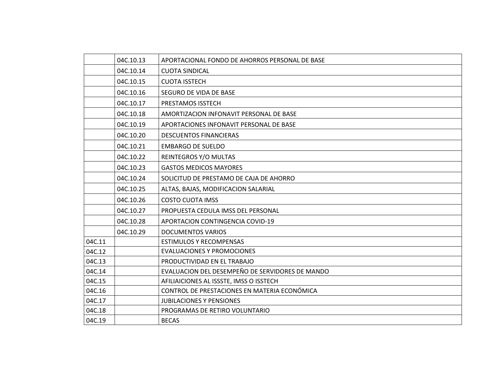|        | 04C.10.13                                            | APORTACIONAL FONDO DE AHORROS PERSONAL DE BASE  |  |  |  |
|--------|------------------------------------------------------|-------------------------------------------------|--|--|--|
|        | 04C.10.14                                            | <b>CUOTA SINDICAL</b>                           |  |  |  |
|        | 04C.10.15                                            | <b>CUOTA ISSTECH</b>                            |  |  |  |
|        | 04C.10.16                                            | SEGURO DE VIDA DE BASE                          |  |  |  |
|        | 04C.10.17                                            | PRESTAMOS ISSTECH                               |  |  |  |
|        | 04C.10.18                                            | AMORTIZACION INFONAVIT PERSONAL DE BASE         |  |  |  |
|        | 04C.10.19<br>APORTACIONES INFONAVIT PERSONAL DE BASE |                                                 |  |  |  |
|        | 04C.10.20                                            | <b>DESCUENTOS FINANCIERAS</b>                   |  |  |  |
|        | 04C.10.21                                            | <b>EMBARGO DE SUELDO</b>                        |  |  |  |
|        | 04C.10.22                                            | REINTEGROS Y/O MULTAS                           |  |  |  |
|        | 04C.10.23                                            | <b>GASTOS MEDICOS MAYORES</b>                   |  |  |  |
|        | 04C.10.24                                            | SOLICITUD DE PRESTAMO DE CAJA DE AHORRO         |  |  |  |
|        | 04C.10.25                                            | ALTAS, BAJAS, MODIFICACION SALARIAL             |  |  |  |
|        | 04C.10.26                                            | <b>COSTO CUOTA IMSS</b>                         |  |  |  |
|        | 04C.10.27                                            | PROPUESTA CEDULA IMSS DEL PERSONAL              |  |  |  |
|        | 04C.10.28                                            | APORTACION CONTINGENCIA COVID-19                |  |  |  |
|        | 04C.10.29                                            | <b>DOCUMENTOS VARIOS</b>                        |  |  |  |
| 04C.11 |                                                      | <b>ESTIMULOS Y RECOMPENSAS</b>                  |  |  |  |
| 04C.12 |                                                      | <b>EVALUACIONES Y PROMOCIONES</b>               |  |  |  |
| 04C.13 |                                                      | PRODUCTIVIDAD EN EL TRABAJO                     |  |  |  |
| 04C.14 |                                                      | EVALUACION DEL DESEMPEÑO DE SERVIDORES DE MANDO |  |  |  |
| 04C.15 |                                                      | AFILIAICIONES AL ISSSTE, IMSS O ISSTECH         |  |  |  |
| 04C.16 |                                                      | CONTROL DE PRESTACIONES EN MATERIA ECONÓMICA    |  |  |  |
| 04C.17 |                                                      | <b>JUBILACIONES Y PENSIONES</b>                 |  |  |  |
| 04C.18 |                                                      | PROGRAMAS DE RETIRO VOLUNTARIO                  |  |  |  |
| 04C.19 |                                                      | <b>BECAS</b>                                    |  |  |  |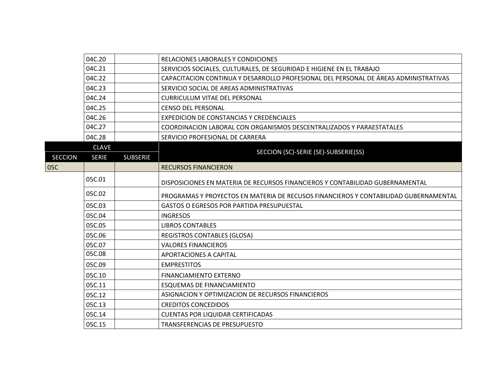|                | 04C.20                          | RELACIONES LABORALES Y CONDICIONES                                                   |
|----------------|---------------------------------|--------------------------------------------------------------------------------------|
|                | 04C.21                          | SERVICIOS SOCIALES, CULTURALES, DE SEGURIDAD E HIGIENE EN EL TRABAJO                 |
|                | 04C.22                          | CAPACITACION CONTINUA Y DESARROLLO PROFESIONAL DEL PERSONAL DE ÁREAS ADMINISTRATIVAS |
|                | 04C.23                          | SERVICIO SOCIAL DE AREAS ADMINISTRATIVAS                                             |
|                | 04C.24                          | <b>CURRICULUM VITAE DEL PERSONAL</b>                                                 |
|                | 04C.25                          | <b>CENSO DEL PERSONAL</b>                                                            |
|                | 04C.26                          | EXPEDICION DE CONSTANCIAS Y CREDENCIALES                                             |
|                | 04C.27                          | COORDINACION LABORAL CON ORGANISMOS DESCENTRALIZADOS Y PARAESTATALES                 |
|                | 04C.28                          | SERVICIO PROFESIONAL DE CARRERA                                                      |
|                | <b>CLAVE</b>                    | SECCION (SC)-SERIE (SE)-SUBSERIE(SS)                                                 |
| <b>SECCION</b> | <b>SUBSERIE</b><br><b>SERIE</b> |                                                                                      |
| 05C            |                                 | <b>RECURSOS FINANCIERON</b>                                                          |
|                | 05C.01                          |                                                                                      |
|                |                                 | DISPOSICIONES EN MATERIA DE RECURSOS FINANCIEROS Y CONTABILIDAD GUBERNAMENTAL        |
|                | 05C.02                          | PROGRAMAS Y PROYECTOS EN MATERIA DE RECUSOS FINANCIEROS Y CONTABILIDAD GUBERNAMENTAL |
|                | 05C.03                          | <b>GASTOS O EGRESOS POR PARTIDA PRESUPUESTAL</b>                                     |
|                | 05C.04                          | <b>INGRESOS</b>                                                                      |
|                | 05C.05                          | <b>LIBROS CONTABLES</b>                                                              |
|                | 05C.06                          | <b>REGISTROS CONTABLES (GLOSA)</b>                                                   |
|                | 05C.07                          | <b>VALORES FINANCIEROS</b>                                                           |
|                | 05C.08                          | APORTACIONES A CAPITAL                                                               |
|                | 05C.09                          | <b>EMPRESTITOS</b>                                                                   |
|                | 05C.10                          | <b>FINANCIAMIENTO EXTERNO</b>                                                        |
|                | 05C.11                          | <b>ESQUEMAS DE FINANCIAMIENTO</b>                                                    |
|                | 05C.12                          | ASIGNACION Y OPTIMIZACION DE RECURSOS FINANCIEROS                                    |
|                | 05C.13                          | <b>CREDITOS CONCEDIDOS</b>                                                           |
|                | 05C.14                          | <b>CUENTAS POR LIQUIDAR CERTIFICADAS</b>                                             |
|                | 05C.15                          | TRANSFERENCIAS DE PRESUPUESTO                                                        |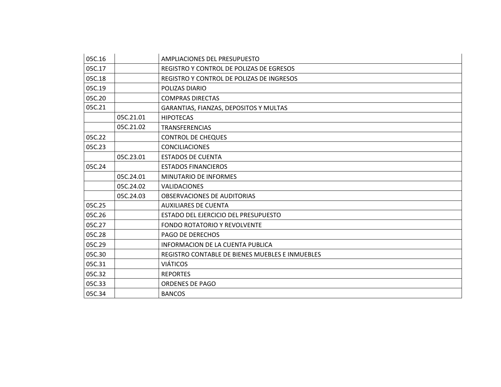| 05C.16 |           | AMPLIACIONES DEL PRESUPUESTO                    |
|--------|-----------|-------------------------------------------------|
| 05C.17 |           | REGISTRO Y CONTROL DE POLIZAS DE EGRESOS        |
| 05C.18 |           | REGISTRO Y CONTROL DE POLIZAS DE INGRESOS       |
| 05C.19 |           | POLIZAS DIARIO                                  |
| 05C.20 |           | <b>COMPRAS DIRECTAS</b>                         |
| 05C.21 |           | GARANTIAS, FIANZAS, DEPOSITOS Y MULTAS          |
|        | 05C.21.01 | <b>HIPOTECAS</b>                                |
|        | 05C.21.02 | <b>TRANSFERENCIAS</b>                           |
| 05C.22 |           | <b>CONTROL DE CHEQUES</b>                       |
| 05C.23 |           | <b>CONCILIACIONES</b>                           |
|        | 05C.23.01 | <b>ESTADOS DE CUENTA</b>                        |
| 05C.24 |           | <b>ESTADOS FINANCIEROS</b>                      |
|        | 05C.24.01 | <b>MINUTARIO DE INFORMES</b>                    |
|        | 05C.24.02 | <b>VALIDACIONES</b>                             |
|        | 05C.24.03 | <b>OBSERVACIONES DE AUDITORIAS</b>              |
| 05C.25 |           | <b>AUXILIARES DE CUENTA</b>                     |
| 05C.26 |           | ESTADO DEL EJERCICIO DEL PRESUPUESTO            |
| 05C.27 |           | <b>FONDO ROTATORIO Y REVOLVENTE</b>             |
| 05C.28 |           | <b>PAGO DE DERECHOS</b>                         |
| 05C.29 |           | <b>INFORMACION DE LA CUENTA PUBLICA</b>         |
| 05C.30 |           | REGISTRO CONTABLE DE BIENES MUEBLES E INMUEBLES |
| 05C.31 |           | <b>VIÁTICOS</b>                                 |
| 05C.32 |           | <b>REPORTES</b>                                 |
| 05C.33 |           | <b>ORDENES DE PAGO</b>                          |
| 05C.34 |           | <b>BANCOS</b>                                   |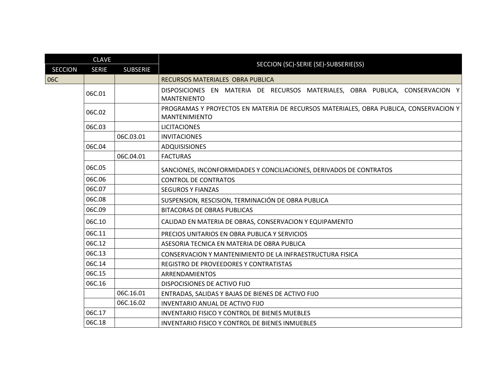|                | <b>CLAVE</b> |                 |                                                                                                               |
|----------------|--------------|-----------------|---------------------------------------------------------------------------------------------------------------|
| <b>SECCION</b> | <b>SERIE</b> | <b>SUBSERIE</b> | SECCION (SC)-SERIE (SE)-SUBSERIE(SS)                                                                          |
| 06C            |              |                 | RECURSOS MATERIALES OBRA PUBLICA                                                                              |
|                | 06C.01       |                 | DISPOSICIONES EN MATERIA DE RECURSOS MATERIALES, OBRA PUBLICA, CONSERVACION Y<br><b>MANTENIENTO</b>           |
|                | 06C.02       |                 | PROGRAMAS Y PROYECTOS EN MATERIA DE RECURSOS MATERIALES, OBRA PUBLICA, CONSERVACION Y<br><b>MANTENIMIENTO</b> |
|                | 06C.03       |                 | <b>LICITACIONES</b>                                                                                           |
|                |              | 06C.03.01       | <b>INVITACIONES</b>                                                                                           |
|                | 06C.04       |                 | <b>ADQUISISIONES</b>                                                                                          |
|                |              | 06C.04.01       | <b>FACTURAS</b>                                                                                               |
|                | 06C.05       |                 | SANCIONES, INCONFORMIDADES Y CONCILIACIONES, DERIVADOS DE CONTRATOS                                           |
|                | 06C.06       |                 | <b>CONTROL DE CONTRATOS</b>                                                                                   |
|                | 06C.07       |                 | <b>SEGUROS Y FIANZAS</b>                                                                                      |
|                | 06C.08       |                 | SUSPENSION, RESCISION, TERMINACIÓN DE OBRA PUBLICA                                                            |
|                | 06C.09       |                 | <b>BITACORAS DE OBRAS PUBLICAS</b>                                                                            |
|                | 06C.10       |                 | CALIDAD EN MATERIA DE OBRAS, CONSERVACION Y EQUIPAMENTO                                                       |
|                | 06C.11       |                 | PRECIOS UNITARIOS EN OBRA PUBLICA Y SERVICIOS                                                                 |
|                | 06C.12       |                 | ASESORIA TECNICA EN MATERIA DE OBRA PUBLICA                                                                   |
|                | 06C.13       |                 | CONSERVACION Y MANTENIMIENTO DE LA INFRAESTRUCTURA FISICA                                                     |
|                | 06C.14       |                 | REGISTRO DE PROVEEDORES Y CONTRATISTAS                                                                        |
|                | 06C.15       |                 | ARRENDAMIENTOS                                                                                                |
|                | 06C.16       |                 | DISPOCISIONES DE ACTIVO FIJO                                                                                  |
|                |              | 06C.16.01       | ENTRADAS, SALIDAS Y BAJAS DE BIENES DE ACTIVO FIJO                                                            |
|                |              | 06C.16.02       | INVENTARIO ANUAL DE ACTIVO FIJO                                                                               |
|                | 06C.17       |                 | <b>INVENTARIO FISICO Y CONTROL DE BIENES MUEBLES</b>                                                          |
|                | 06C.18       |                 | <b>INVENTARIO FISICO Y CONTROL DE BIENES INMUEBLES</b>                                                        |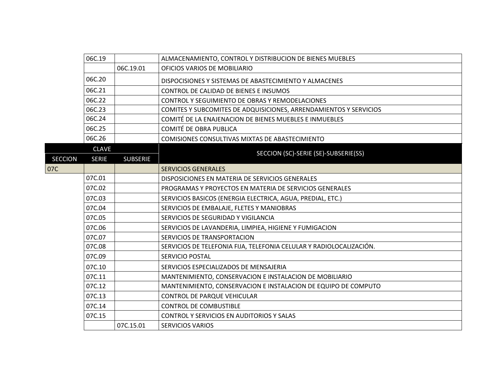|                | 06C.19       |                 | ALMACENAMIENTO, CONTROL Y DISTRIBUCION DE BIENES MUEBLES            |
|----------------|--------------|-----------------|---------------------------------------------------------------------|
|                |              | 06C.19.01       | OFICIOS VARIOS DE MOBILIARIO                                        |
|                | 06C.20       |                 | DISPOCISIONES Y SISTEMAS DE ABASTECIMIENTO Y ALMACENES              |
|                | 06C.21       |                 | CONTROL DE CALIDAD DE BIENES E INSUMOS                              |
|                | 06C.22       |                 | CONTROL Y SEGUIMIENTO DE OBRAS Y REMODELACIONES                     |
|                | 06C.23       |                 | COMITES Y SUBCOMITES DE ADQUISICIONES, ARRENDAMIENTOS Y SERVICIOS   |
|                | 06C.24       |                 | COMITÉ DE LA ENAJENACION DE BIENES MUEBLES E INMUEBLES              |
|                | 06C.25       |                 | COMITÉ DE OBRA PUBLICA                                              |
|                | 06C.26       |                 | COMISIONES CONSULTIVAS MIXTAS DE ABASTECIMIENTO                     |
|                | <b>CLAVE</b> |                 | SECCION (SC)-SERIE (SE)-SUBSERIE(SS)                                |
| <b>SECCION</b> | <b>SERIE</b> | <b>SUBSERIE</b> |                                                                     |
| 07C            |              |                 | <b>SERVICIOS GENERALES</b>                                          |
|                | 07C.01       |                 | DISPOSICIONES EN MATERIA DE SERVICIOS GENERALES                     |
|                | 07C.02       |                 | PROGRAMAS Y PROYECTOS EN MATERIA DE SERVICIOS GENERALES             |
|                | 07C.03       |                 | SERVICIOS BASICOS (ENERGIA ELECTRICA, AGUA, PREDIAL, ETC.)          |
|                | 07C.04       |                 | SERVICIOS DE EMBALAJE, FLETES Y MANIOBRAS                           |
|                | 07C.05       |                 | SERVICIOS DE SEGURIDAD Y VIGILANCIA                                 |
|                | 07C.06       |                 | SERVICIOS DE LAVANDERIA, LIMPIEA, HIGIENE Y FUMIGACION              |
|                | 07C.07       |                 | SERVICIOS DE TRANSPORTACION                                         |
|                | 07C.08       |                 | SERVICIOS DE TELEFONIA FIJA, TELEFONIA CELULAR Y RADIOLOCALIZACIÓN. |
|                | 07C.09       |                 | SERVICIO POSTAL                                                     |
|                | 07C.10       |                 | SERVICIOS ESPECIALIZADOS DE MENSAJERIA                              |
|                | 07C.11       |                 | MANTENIMIENTO, CONSERVACION E INSTALACION DE MOBILIARIO             |
|                | 07C.12       |                 | MANTENIMIENTO, CONSERVACION E INSTALACION DE EQUIPO DE COMPUTO      |
|                | 07C.13       |                 | <b>CONTROL DE PARQUE VEHICULAR</b>                                  |
|                | 07C.14       |                 | <b>CONTROL DE COMBUSTIBLE</b>                                       |
|                | 07C.15       |                 | CONTROL Y SERVICIOS EN AUDITORIOS Y SALAS                           |
|                |              | 07C.15.01       | <b>SERVICIOS VARIOS</b>                                             |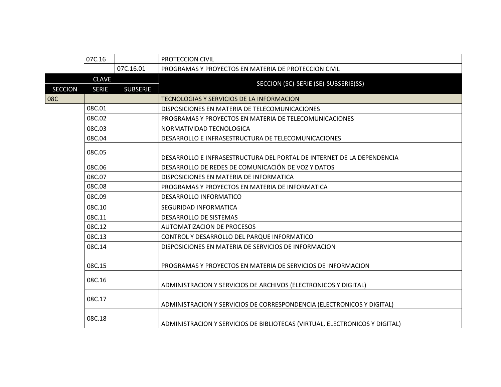|                | 07C.16                       |                 | PROTECCION CIVIL                                                            |
|----------------|------------------------------|-----------------|-----------------------------------------------------------------------------|
|                |                              | 07C.16.01       | PROGRAMAS Y PROYECTOS EN MATERIA DE PROTECCION CIVIL                        |
| <b>SECCION</b> | <b>CLAVE</b><br><b>SERIE</b> | <b>SUBSERIE</b> | SECCION (SC)-SERIE (SE)-SUBSERIE(SS)                                        |
| 08C            |                              |                 | <b>TECNOLOGIAS Y SERVICIOS DE LA INFORMACION</b>                            |
|                | 08C.01                       |                 | DISPOSICIONES EN MATERIA DE TELECOMUNICACIONES                              |
|                | 08C.02                       |                 | PROGRAMAS Y PROYECTOS EN MATERIA DE TELECOMUNICACIONES                      |
|                | 08C.03                       |                 | NORMATIVIDAD TECNOLOGICA                                                    |
|                | 08C.04                       |                 | DESARROLLO E INFRASESTRUCTURA DE TELECOMUNICACIONES                         |
|                | 08C.05                       |                 | DESARROLLO E INFRASESTRUCTURA DEL PORTAL DE INTERNET DE LA DEPENDENCIA      |
|                | 08C.06                       |                 | DESARROLLO DE REDES DE COMUNICACIÓN DE VOZ Y DATOS                          |
|                | 08C.07                       |                 | DISPOSICIONES EN MATERIA DE INFORMATICA                                     |
|                | 08C.08                       |                 | PROGRAMAS Y PROYECTOS EN MATERIA DE INFORMATICA                             |
|                | 08C.09                       |                 | DESARROLLO INFORMATICO                                                      |
|                | 08C.10                       |                 | SEGURIDAD INFORMATICA                                                       |
|                | 08C.11                       |                 | <b>DESARROLLO DE SISTEMAS</b>                                               |
|                | 08C.12                       |                 | <b>AUTOMATIZACION DE PROCESOS</b>                                           |
|                | 08C.13                       |                 | CONTROL Y DESARROLLO DEL PARQUE INFORMATICO                                 |
|                | 08C.14                       |                 | DISPOSICIONES EN MATERIA DE SERVICIOS DE INFORMACION                        |
|                | 08C.15                       |                 | PROGRAMAS Y PROYECTOS EN MATERIA DE SERVICIOS DE INFORMACION                |
|                | 08C.16                       |                 | ADMINISTRACION Y SERVICIOS DE ARCHIVOS (ELECTRONICOS Y DIGITAL)             |
|                | 08C.17                       |                 | ADMINISTRACION Y SERVICIOS DE CORRESPONDENCIA (ELECTRONICOS Y DIGITAL)      |
|                | 08C.18                       |                 | ADMINISTRACION Y SERVICIOS DE BIBLIOTECAS (VIRTUAL, ELECTRONICOS Y DIGITAL) |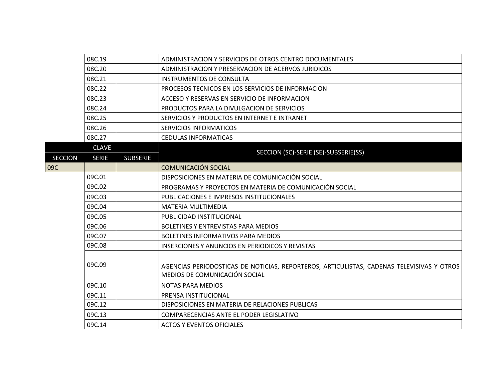|                | 08C.19       |                 | ADMINISTRACION Y SERVICIOS DE OTROS CENTRO DOCUMENTALES                                                                    |
|----------------|--------------|-----------------|----------------------------------------------------------------------------------------------------------------------------|
|                | 08C.20       |                 | ADMINISTRACION Y PRESERVACION DE ACERVOS JURIDICOS                                                                         |
|                | 08C.21       |                 | <b>INSTRUMENTOS DE CONSULTA</b>                                                                                            |
|                | 08C.22       |                 | PROCESOS TECNICOS EN LOS SERVICIOS DE INFORMACION                                                                          |
|                | 08C.23       |                 | ACCESO Y RESERVAS EN SERVICIO DE INFORMACION                                                                               |
|                | 08C.24       |                 | PRODUCTOS PARA LA DIVULGACION DE SERVICIOS                                                                                 |
|                | 08C.25       |                 | SERVICIOS Y PRODUCTOS EN INTERNET E INTRANET                                                                               |
|                | 08C.26       |                 | <b>SERVICIOS INFORMATICOS</b>                                                                                              |
|                | 08C.27       |                 | <b>CEDULAS INFORMATICAS</b>                                                                                                |
|                | <b>CLAVE</b> |                 | SECCION (SC)-SERIE (SE)-SUBSERIE(SS)                                                                                       |
| <b>SECCION</b> | <b>SERIE</b> | <b>SUBSERIE</b> |                                                                                                                            |
| 09C            |              |                 | <b>COMUNICACIÓN SOCIAL</b>                                                                                                 |
|                | 09C.01       |                 | DISPOSICIONES EN MATERIA DE COMUNICACIÓN SOCIAL                                                                            |
|                | 09C.02       |                 | PROGRAMAS Y PROYECTOS EN MATERIA DE COMUNICACIÓN SOCIAL                                                                    |
|                | 09C.03       |                 | PUBLICACIONES E IMPRESOS INSTITUCIONALES                                                                                   |
|                | 09C.04       |                 | <b>MATERIA MULTIMEDIA</b>                                                                                                  |
|                | 09C.05       |                 | PUBLICIDAD INSTITUCIONAL                                                                                                   |
|                | 09C.06       |                 | <b>BOLETINES Y ENTREVISTAS PARA MEDIOS</b>                                                                                 |
|                | 09C.07       |                 | BOLETINES INFORMATIVOS PARA MEDIOS                                                                                         |
|                | 09C.08       |                 | <b>INSERCIONES Y ANUNCIOS EN PERIODICOS Y REVISTAS</b>                                                                     |
|                | 09C.09       |                 | AGENCIAS PERIODOSTICAS DE NOTICIAS, REPORTEROS, ARTICULISTAS, CADENAS TELEVISIVAS Y OTROS<br>MEDIOS DE COMUNICACIÓN SOCIAL |
|                | 09C.10       |                 | <b>NOTAS PARA MEDIOS</b>                                                                                                   |
|                | 09C.11       |                 | PRENSA INSTITUCIONAL                                                                                                       |
|                | 09C.12       |                 | DISPOSICIONES EN MATERIA DE RELACIONES PUBLICAS                                                                            |
|                | 09C.13       |                 | COMPARECENCIAS ANTE EL PODER LEGISLATIVO                                                                                   |
|                | 09C.14       |                 | <b>ACTOS Y EVENTOS OFICIALES</b>                                                                                           |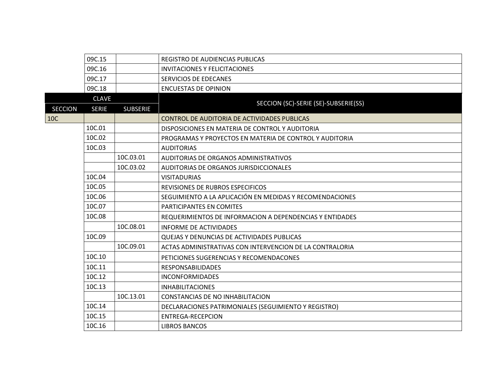|                | 09C.15       |                 | REGISTRO DE AUDIENCIAS PUBLICAS                          |
|----------------|--------------|-----------------|----------------------------------------------------------|
|                | 09C.16       |                 | <b>INVITACIONES Y FELICITACIONES</b>                     |
|                | 09C.17       |                 | SERVICIOS DE EDECANES                                    |
|                | 09C.18       |                 | <b>ENCUESTAS DE OPINION</b>                              |
|                | <b>CLAVE</b> |                 | SECCION (SC)-SERIE (SE)-SUBSERIE(SS)                     |
| <b>SECCION</b> | <b>SERIE</b> | <b>SUBSERIE</b> |                                                          |
| 10C            |              |                 | CONTROL DE AUDITORIA DE ACTIVIDADES PUBLICAS             |
|                | 10C.01       |                 | DISPOSICIONES EN MATERIA DE CONTROL Y AUDITORIA          |
|                | 10C.02       |                 | PROGRAMAS Y PROYECTOS EN MATERIA DE CONTROL Y AUDITORIA  |
|                | 10C.03       |                 | <b>AUDITORIAS</b>                                        |
|                |              | 10C.03.01       | AUDITORIAS DE ORGANOS ADMINISTRATIVOS                    |
|                |              | 10C.03.02       | AUDITORIAS DE ORGANOS JURISDICCIONALES                   |
|                | 10C.04       |                 | <b>VISITADURIAS</b>                                      |
|                | 10C.05       |                 | REVISIONES DE RUBROS ESPECIFICOS                         |
|                | 10C.06       |                 | SEGUIMIENTO A LA APLICACIÓN EN MEDIDAS Y RECOMENDACIONES |
|                | 10C.07       |                 | <b>PARTICIPANTES EN COMITES</b>                          |
|                | 10C.08       |                 | REQUERIMIENTOS DE INFORMACION A DEPENDENCIAS Y ENTIDADES |
|                |              | 10C.08.01       | <b>INFORME DE ACTIVIDADES</b>                            |
|                | 10C.09       |                 | QUEJAS Y DENUNCIAS DE ACTIVIDADES PUBLICAS               |
|                |              | 10C.09.01       | ACTAS ADMINISTRATIVAS CON INTERVENCION DE LA CONTRALORIA |
|                | 10C.10       |                 | PETICIONES SUGERENCIAS Y RECOMENDACONES                  |
|                | 10C.11       |                 | <b>RESPONSABILIDADES</b>                                 |
|                | 10C.12       |                 | <b>INCONFORMIDADES</b>                                   |
|                | 10C.13       |                 | <b>INHABILITACIONES</b>                                  |
|                |              | 10C.13.01       | <b>CONSTANCIAS DE NO INHABILITACION</b>                  |
|                | 10C.14       |                 | DECLARACIONES PATRIMONIALES (SEGUIMIENTO Y REGISTRO)     |
|                | 10C.15       |                 | <b>ENTREGA-RECEPCION</b>                                 |
|                | 10C.16       |                 | <b>LIBROS BANCOS</b>                                     |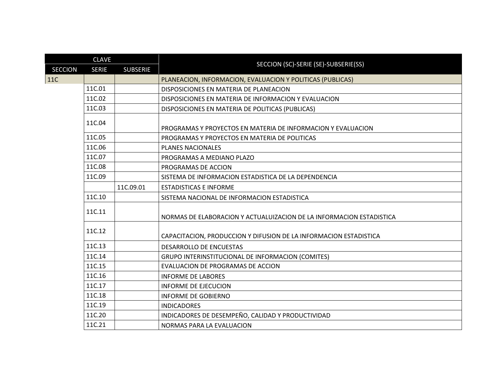| <b>CLAVE</b>   |              |                 |                                                                      |
|----------------|--------------|-----------------|----------------------------------------------------------------------|
| <b>SECCION</b> | <b>SERIE</b> | <b>SUBSERIE</b> | SECCION (SC)-SERIE (SE)-SUBSERIE(SS)                                 |
| <b>11C</b>     |              |                 | PLANEACION, INFORMACION, EVALUACION Y POLITICAS (PUBLICAS)           |
|                | 11C.01       |                 | DISPOSICIONES EN MATERIA DE PLANEACION                               |
|                | 11C.02       |                 | DISPOSICIONES EN MATERIA DE INFORMACION Y EVALUACION                 |
|                | 11C.03       |                 | DISPOSICIONES EN MATERIA DE POLITICAS (PUBLICAS)                     |
|                | 11C.04       |                 | PROGRAMAS Y PROYECTOS EN MATERIA DE INFORMACION Y EVALUACION         |
|                | 11C.05       |                 | PROGRAMAS Y PROYECTOS EN MATERIA DE POLITICAS                        |
|                | 11C.06       |                 | <b>PLANES NACIONALES</b>                                             |
|                | 11C.07       |                 | PROGRAMAS A MEDIANO PLAZO                                            |
|                | 11C.08       |                 | PROGRAMAS DE ACCION                                                  |
|                | 11C.09       |                 | SISTEMA DE INFORMACION ESTADISTICA DE LA DEPENDENCIA                 |
|                |              | 11C.09.01       | <b>ESTADISTICAS E INFORME</b>                                        |
|                | 11C.10       |                 | SISTEMA NACIONAL DE INFORMACION ESTADISTICA                          |
|                | 11C.11       |                 | NORMAS DE ELABORACION Y ACTUALUIZACION DE LA INFORMACION ESTADISTICA |
|                | 11C.12       |                 | CAPACITACION, PRODUCCION Y DIFUSION DE LA INFORMACION ESTADISTICA    |
|                | 11C.13       |                 | <b>DESARROLLO DE ENCUESTAS</b>                                       |
|                | 11C.14       |                 | GRUPO INTERINSTITUCIONAL DE INFORMACION (COMITES)                    |
|                | 11C.15       |                 | <b>EVALUACION DE PROGRAMAS DE ACCION</b>                             |
|                | 11C.16       |                 | <b>INFORME DE LABORES</b>                                            |
|                | 11C.17       |                 | <b>INFORME DE EJECUCION</b>                                          |
|                | 11C.18       |                 | <b>INFORME DE GOBIERNO</b>                                           |
|                | 11C.19       |                 | <b>INDICADORES</b>                                                   |
|                | 11C.20       |                 | INDICADORES DE DESEMPEÑO, CALIDAD Y PRODUCTIVIDAD                    |
|                | 11C.21       |                 | NORMAS PARA LA EVALUACION                                            |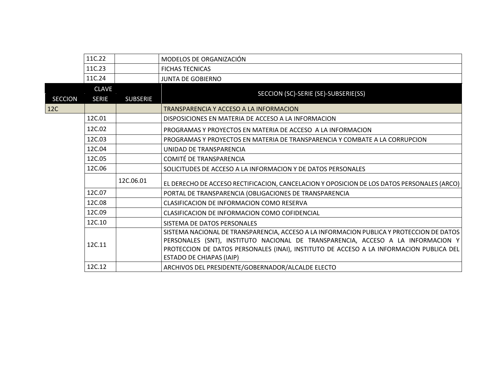|                | 11C.22       |                 | MODELOS DE ORGANIZACIÓN                                                                                                                                                                                                                                                                                    |
|----------------|--------------|-----------------|------------------------------------------------------------------------------------------------------------------------------------------------------------------------------------------------------------------------------------------------------------------------------------------------------------|
|                | 11C.23       |                 | <b>FICHAS TECNICAS</b>                                                                                                                                                                                                                                                                                     |
|                | 11C.24       |                 | <b>JUNTA DE GOBIERNO</b>                                                                                                                                                                                                                                                                                   |
|                | <b>CLAVE</b> |                 |                                                                                                                                                                                                                                                                                                            |
| <b>SECCION</b> | <b>SERIE</b> | <b>SUBSERIE</b> | SECCION (SC)-SERIE (SE)-SUBSERIE(SS)                                                                                                                                                                                                                                                                       |
| 12C            |              |                 | TRANSPARENCIA Y ACCESO A LA INFORMACION                                                                                                                                                                                                                                                                    |
|                | 12C.01       |                 | DISPOSICIONES EN MATERIA DE ACCESO A LA INFORMACION                                                                                                                                                                                                                                                        |
|                | 12C.02       |                 | PROGRAMAS Y PROYECTOS EN MATERIA DE ACCESO A LA INFORMACION                                                                                                                                                                                                                                                |
|                | 12C.03       |                 | PROGRAMAS Y PROYECTOS EN MATERIA DE TRANSPARENCIA Y COMBATE A LA CORRUPCION                                                                                                                                                                                                                                |
|                | 12C.04       |                 | UNIDAD DE TRANSPARENCIA                                                                                                                                                                                                                                                                                    |
|                | 12C.05       |                 | <b>COMITÉ DE TRANSPARENCIA</b>                                                                                                                                                                                                                                                                             |
|                | 12C.06       |                 | SOLICITUDES DE ACCESO A LA INFORMACION Y DE DATOS PERSONALES                                                                                                                                                                                                                                               |
|                |              | 12C.06.01       | EL DERECHO DE ACCESO RECTIFICACION, CANCELACION Y OPOSICION DE LOS DATOS PERSONALES (ARCO)                                                                                                                                                                                                                 |
|                | 12C.07       |                 | PORTAL DE TRANSPARENCIA (OBLIGACIONES DE TRANSPARENCIA                                                                                                                                                                                                                                                     |
|                | 12C.08       |                 | CLASIFICACION DE INFORMACION COMO RESERVA                                                                                                                                                                                                                                                                  |
|                | 12C.09       |                 | CLASIFICACION DE INFORMACION COMO COFIDENCIAL                                                                                                                                                                                                                                                              |
|                | 12C.10       |                 | SISTEMA DE DATOS PERSONALES                                                                                                                                                                                                                                                                                |
|                | 12C.11       |                 | SISTEMA NACIONAL DE TRANSPARENCIA, ACCESO A LA INFORMACION PUBLICA Y PROTECCION DE DATOS<br>PERSONALES (SNT), INSTITUTO NACIONAL DE TRANSPARENCIA, ACCESO A LA INFORMACION Y<br>PROTECCION DE DATOS PERSONALES (INAI), INSTITUTO DE ACCESO A LA INFORMACION PUBLICA DEL<br><b>ESTADO DE CHIAPAS (IAIP)</b> |
|                | 12C.12       |                 | ARCHIVOS DEL PRESIDENTE/GOBERNADOR/ALCALDE ELECTO                                                                                                                                                                                                                                                          |